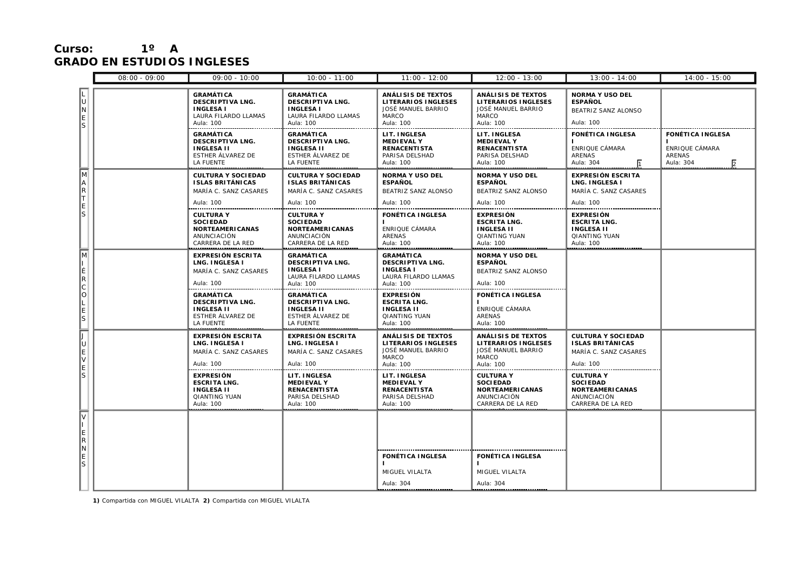## **Curso: 1º A GRADO EN ESTUDIOS INGLESES**

|                                                               | $08:00 - 09:00$ | $09:00 - 10:00$                                                                                           | $10:00 - 11:00$                                                                                      | $11:00 - 12:00$                                                                                   | $12:00 - 13:00$                                                                                     | $13:00 - 14:00$                                                                                   | $14:00 - 15:00$                                                                    |
|---------------------------------------------------------------|-----------------|-----------------------------------------------------------------------------------------------------------|------------------------------------------------------------------------------------------------------|---------------------------------------------------------------------------------------------------|-----------------------------------------------------------------------------------------------------|---------------------------------------------------------------------------------------------------|------------------------------------------------------------------------------------|
| L<br>ان<br>$\begin{bmatrix} 0 \\ R \\ R \\ S \end{bmatrix}$   |                 | <b>GRAMÁTICA</b><br><b>DESCRIPTIVA LNG.</b><br><b>INGLESA I</b><br>LAURA FILARDO LLAMAS<br>Aula: 100      | <b>GRAMÁTICA</b><br><b>DESCRIPTIVA LNG.</b><br><b>INGLESA I</b><br>LAURA FILARDO LLAMAS<br>Aula: 100 | <b>ANÁLISIS DE TEXTOS</b><br>LITERARIOS INGLESES<br>JOSÉ MANUEL BARRIO<br>MARCO<br>Aula: 100      | ANÁLISIS DE TEXTOS<br>LITERARIOS INGLESES<br>JOSÉ MANUEL BARRIO<br><b>MARCO</b><br>Aula: 100        | <b>NORMA Y USO DEL</b><br><b>ESPAÑOL</b><br>BEATRIZ SANZ ALONSO<br>Aula: 100                      |                                                                                    |
| $\overline{\mathbb{M}}$<br>$A$ R<br>T<br>E<br>S               |                 | <b>GRAMÁTICA</b><br><b>DESCRIPTIVA LNG.</b><br><b>INGLESA II</b><br>ESTHER ÁLVAREZ DE<br><b>LA FUENTE</b> | GRAMÁTICA<br><b>DESCRIPTIVA LNG.</b><br><b>INGLESA II</b><br>ESTHER ÁLVAREZ DE<br>LA FUENTE          | LIT. INGLESA<br><b>MEDIEVAL Y</b><br><b>RENACENTISTA</b><br>PARISA DELSHAD<br>Aula: 100           | LIT. INGLESA<br><b>MEDIEVAL Y</b><br><b>RENACENTISTA</b><br>PARISA DELSHAD<br>Aula: 100             | <b>FONÉTICA INGLESA</b><br>ENRIQUE CÁMARA<br>ARENAS<br>Aula: 304                                  | <b>FONÉTICA INGLESA</b><br>ENRIQUE CÁMARA<br>ARENAS<br>$\overline{2}$<br>Aula: 304 |
|                                                               |                 | <b>CULTURA Y SOCIEDAD</b><br><b>ISLAS BRITÁNICAS</b><br>MARÍA C. SANZ CASARES<br>Aula: 100                | <b>CULTURA Y SOCIEDAD</b><br><b>ISLAS BRITÁNICAS</b><br>MARÍA C. SANZ CASARES<br>Aula: 100           | <b>NORMA Y USO DEL</b><br><b>ESPAÑOL</b><br>BEATRIZ SANZ ALONSO<br>Aula: 100                      | <b>NORMA Y USO DEL</b><br><b>ESPAÑOL</b><br>BEATRIZ SANZ ALONSO<br>Aula: 100                        | <b>EXPRESIÓN ESCRITA</b><br>LNG. INGLESA I<br>MARÍA C. SANZ CASARES<br>Aula: 100                  |                                                                                    |
|                                                               |                 | <b>CULTURA Y</b><br><b>SOCIEDAD</b><br><b>NORTEAMERICANAS</b><br>ANUNCIACIÓN<br>CARRERA DE LA RED         | <b>CULTURA Y</b><br><b>SOCIEDAD</b><br><b>NORTEAMERICANAS</b><br>ANUNCIACIÓN<br>CARRERA DE LA RED    | <b>FONÉTICA INGLESA</b><br>ENRIQUE CÁMARA<br>ARENAS<br>Aula: 100                                  | <b>EXPRESIÓN</b><br><b>ESCRITA LNG.</b><br><b>INGLESA II</b><br><b>QIANTING YUAN</b><br>Aula: 100   | <b>EXPRESIÓN</b><br><b>ESCRITA LNG.</b><br><b>INGLESA II</b><br><b>QIANTING YUAN</b><br>Aula: 100 |                                                                                    |
| $\sqrt{M}$                                                    |                 | <b>EXPRESIÓN ESCRITA</b><br>LNG. INGLESA I<br>MARÍA C. SANZ CASARES<br>Aula: 100                          | <b>GRAMÁTICA</b><br><b>DESCRIPTIVA LNG.</b><br><b>INGLESAI</b><br>LAURA FILARDO LLAMAS<br>Aula: 100  | <b>GRAMÁTICA</b><br>DESCRIPTIVA LNG.<br><b>INGLESA I</b><br>LAURA FILARDO LLAMAS<br>Aula: 100     | <b>NORMA Y USO DEL</b><br><b>ESPAÑOL</b><br>BEATRIZ SANZ ALONSO<br>Aula: 100                        |                                                                                                   |                                                                                    |
| I<br>E<br>R<br>C<br>O<br>L<br>E<br>S<br>Ţ<br>U<br>U<br>E<br>S |                 | <b>GRAMÁTICA</b><br><b>DESCRIPTIVA LNG.</b><br><b>INGLESA II</b><br>ESTHER ÁLVAREZ DE<br><b>LA FUENTE</b> | <b>GRAMÁTICA</b><br><b>DESCRIPTIVA LNG.</b><br><b>INGLESA II</b><br>ESTHER ÁLVAREZ DE<br>LA FUENTE   | <b>EXPRESIÓN</b><br><b>ESCRITA LNG.</b><br><b>INGLESA II</b><br><b>QIANTING YUAN</b><br>Aula: 100 | <b>FONÉTICA INGLESA</b><br>ENRIQUE CÁMARA<br><b>ARENAS</b><br>Aula: 100                             |                                                                                                   |                                                                                    |
|                                                               |                 | <b>EXPRESIÓN ESCRITA</b><br><b>LNG. INGLESA I</b><br>MARÍA C. SANZ CASARES<br>Aula: 100                   | <b>EXPRESIÓN ESCRITA</b><br>LNG. INGLESA I<br>MARÍA C. SANZ CASARES<br>Aula: 100                     | ANÁLISIS DE TEXTOS<br><b>LITERARIOS INGLESES</b><br>JOSÉ MANUEL BARRIO<br>MARCO<br>Aula: 100      | ANÁLISIS DE TEXTOS<br><b>LITERARIOS INGLESES</b><br>JOSÉ MANUEL BARRIO<br><b>MARCO</b><br>Aula: 100 | <b>CULTURA Y SOCIEDAD</b><br><b>ISLAS BRITÁNICAS</b><br>MARÍA C. SANZ CASARES<br>Aula: 100        |                                                                                    |
|                                                               |                 | <b>EXPRESIÓN</b><br><b>ESCRITA LNG.</b><br><b>INGLESA II</b><br><b>QIANTING YUAN</b><br>Aula: 100         | LIT. INGLESA<br><b>MEDIEVAL Y</b><br><b>RENACENTISTA</b><br>PARISA DELSHAD<br>Aula: 100              | LIT. INGLESA<br><b>MEDIEVAL Y</b><br><b>RENACENTISTA</b><br>PARISA DELSHAD<br>Aula: 100           | <b>CULTURA Y</b><br><b>SOCIEDAD</b><br><b>NORTEAMERICANAS</b><br>ANUNCIACIÓN<br>CARRERA DE LA RED   | <b>CULTURA Y</b><br><b>SOCIEDAD</b><br><b>NORTEAMERICANAS</b><br>ANUNCIACIÓN<br>CARRERA DE LA RED |                                                                                    |
| $\overline{\triangledown}$<br>I<br>E<br>R<br>N<br>E<br>S      |                 |                                                                                                           |                                                                                                      |                                                                                                   |                                                                                                     |                                                                                                   |                                                                                    |
|                                                               |                 |                                                                                                           |                                                                                                      | <b>FONÉTICA INGLESA</b><br>MIGUEL VILALTA                                                         | <b>FONÉTICA INGLESA</b><br>MIGUEL VILALTA                                                           |                                                                                                   |                                                                                    |
|                                                               |                 |                                                                                                           |                                                                                                      | Aula: 304                                                                                         | Aula: 304                                                                                           |                                                                                                   |                                                                                    |

**1)** Compartida con MIGUEL VILALTA **2)** Compartida con MIGUEL VILALTA